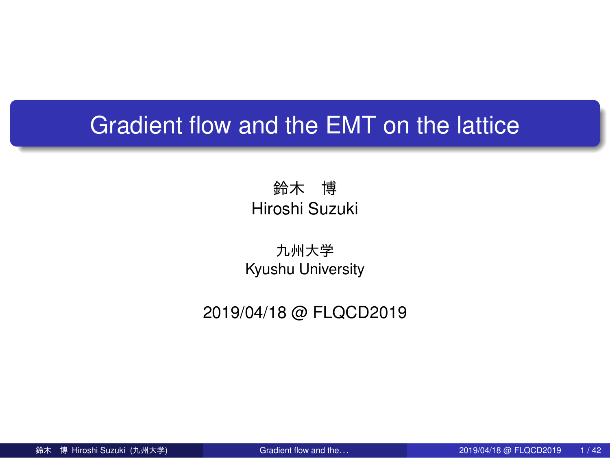# Gradient flow and the EMT on the lattice

鈴木 博 Hiroshi Suzuki

九州大学 Kyushu University

2019/04/18 @ FLQCD2019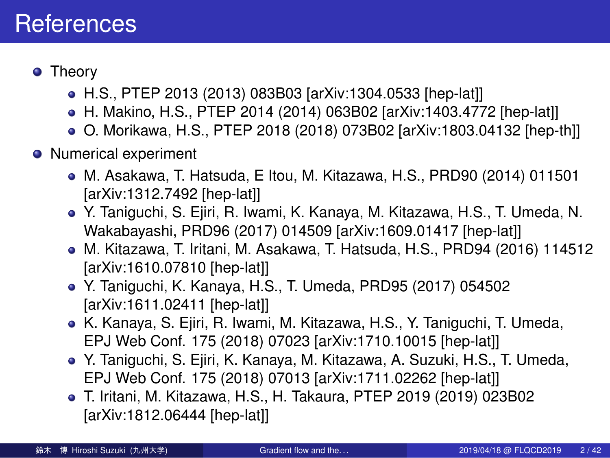#### **References**

- Theory
	- H.S., PTEP 2013 (2013) 083B03 [arXiv:1304.0533 [hep-lat]]
	- H. Makino, H.S., PTEP 2014 (2014) 063B02 [arXiv:1403.4772 [hep-lat]]
	- O. Morikawa, H.S., PTEP 2018 (2018) 073B02 [arXiv:1803.04132 [hep-th]]
- **•** Numerical experiment
	- M. Asakawa, T. Hatsuda, E Itou, M. Kitazawa, H.S., PRD90 (2014) 011501 [arXiv:1312.7492 [hep-lat]]
	- Y. Taniguchi, S. Ejiri, R. Iwami, K. Kanaya, M. Kitazawa, H.S., T. Umeda, N. Wakabayashi, PRD96 (2017) 014509 [arXiv:1609.01417 [hep-lat]]
	- M. Kitazawa, T. Iritani, M. Asakawa, T. Hatsuda, H.S., PRD94 (2016) 114512 [arXiv:1610.07810 [hep-lat]]
	- Y. Taniguchi, K. Kanaya, H.S., T. Umeda, PRD95 (2017) 054502 [arXiv:1611.02411 [hep-lat]]
	- K. Kanaya, S. Ejiri, R. Iwami, M. Kitazawa, H.S., Y. Taniguchi, T. Umeda, EPJ Web Conf. 175 (2018) 07023 [arXiv:1710.10015 [hep-lat]]
	- Y. Taniguchi, S. Ejiri, K. Kanaya, M. Kitazawa, A. Suzuki, H.S., T. Umeda, EPJ Web Conf. 175 (2018) 07013 [arXiv:1711.02262 [hep-lat]]
	- T. Iritani, M. Kitazawa, H.S., H. Takaura, PTEP 2019 (2019) 023B02 [arXiv:1812.06444 [hep-lat]]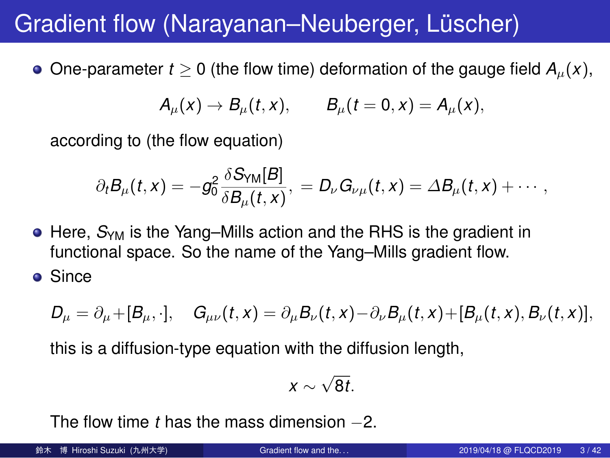#### Gradient flow (Narayanan–Neuberger, Lüscher)

 $\bullet$  One-parameter *t* ≥ 0 (the flow time) deformation of the gauge field  $A<sub>µ</sub>(x)$ ,

$$
A_{\mu}(x) \rightarrow B_{\mu}(t,x), \qquad B_{\mu}(t=0,x) = A_{\mu}(x),
$$

according to (the flow equation)

$$
\partial_t B_\mu(t,x) = -g_0^2 \frac{\delta S_{\text{YM}}[B]}{\delta B_\mu(t,x)},\ = D_\nu G_{\nu\mu}(t,x) = \varDelta B_\mu(t,x) + \cdots,
$$

- Here, *S*YM is the Yang–Mills action and the RHS is the gradient in functional space. So the name of the Yang–Mills gradient flow.
- Since

 $D_{\mu} = \partial_{\mu} + [B_{\mu}, \cdot], \quad G_{\mu\nu}(t, x) = \partial_{\mu} B_{\nu}(t, x) - \partial_{\nu} B_{\mu}(t, x) + [B_{\mu}(t, x), B_{\nu}(t, x)],$ 

this is a diffusion-type equation with the diffusion length,

$$
x\sim \sqrt{8t}.
$$

The flow time *t* has the mass dimension *−*2.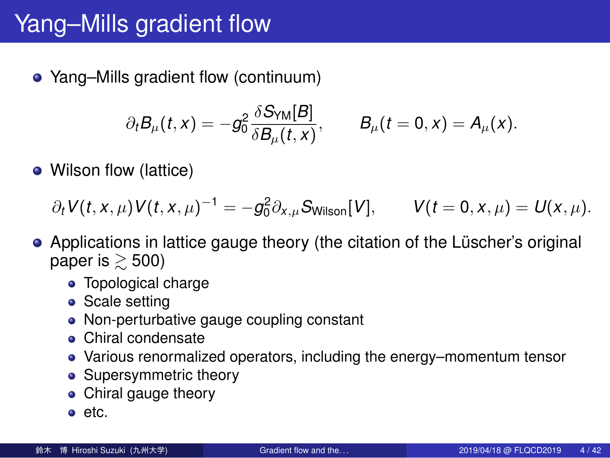#### Yang–Mills gradient flow

Yang–Mills gradient flow (continuum)

$$
\partial_t B_\mu(t,x) = -g_0^2 \frac{\delta S_{\text{YM}}[B]}{\delta B_\mu(t,x)}, \qquad B_\mu(t=0,x) = A_\mu(x).
$$

• Wilson flow (lattice)

 $\partial_t V(t, x, \mu) V(t, x, \mu)^{-1} = -g_0^2 \partial_{x, \mu} S_{\text{Wilson}}[V], \qquad V(t = 0, x, \mu) = U(x, \mu).$ 

- Applications in lattice gauge theory (the citation of the Lüscher's original paper is  $\gtrsim$  500)
	- Topological charge
	- Scale setting
	- Non-perturbative gauge coupling constant
	- Chiral condensate
	- Various renormalized operators, including the energy–momentum tensor
	- Supersymmetric theory
	- Chiral gauge theory
	- $\bullet$  etc.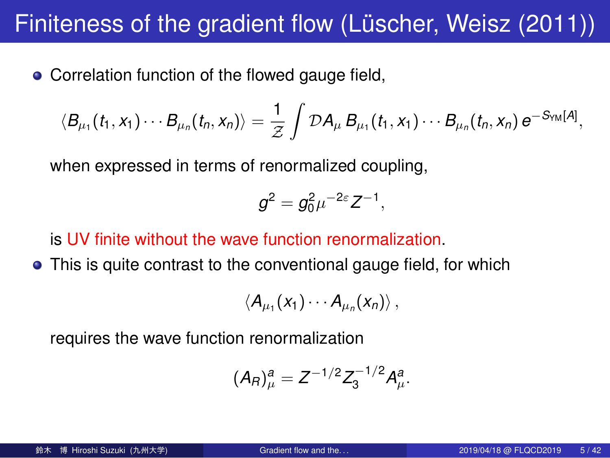## Finiteness of the gradient flow (Lüscher, Weisz (2011))

Correlation function of the flowed gauge field,

$$
\langle B_{\mu_1}(t_1,x_1)\cdots B_{\mu_n}(t_n,x_n)\rangle=\frac{1}{\mathcal{Z}}\int\mathcal{D}A_\mu B_{\mu_1}(t_1,x_1)\cdots B_{\mu_n}(t_n,x_n)\,e^{-S_{YM}[A]},
$$

when expressed in terms of renormalized coupling,

$$
g^2 = g_0^2 \mu^{-2\varepsilon} Z^{-1},
$$

is UV finite without the wave function renormalization.

• This is quite contrast to the conventional gauge field, for which

 $\langle A_{\mu_1}(x_1)\cdots A_{\mu_n}(x_n)\rangle$ ,

requires the wave function renormalization

$$
(A_R)^a_\mu = Z^{-1/2} Z_3^{-1/2} A_\mu^a.
$$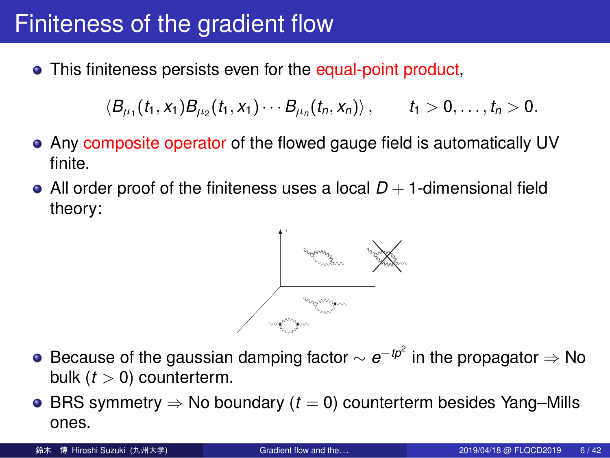#### Finiteness of the gradient flow

This finiteness persists even for the equal-point product,

$$
\langle B_{\mu_1}(t_1,x_1)B_{\mu_2}(t_1,x_1)\cdots B_{\mu_n}(t_n,x_n)\rangle\,,\qquad t_1>0,\ldots,t_n>0.
$$

- Any composite operator of the flowed gauge field is automatically UV finite.
- All order proof of the finiteness uses a local  $D + 1$ -dimensional field theory:



- Because of the gaussian damping factor *∼ e <sup>−</sup>tp*<sup>2</sup> in the propagator *⇒* No bulk (*t >* 0) counterterm.
- BRS symmetry *⇒* No boundary (*t* = 0) counterterm besides Yang–Mills ones.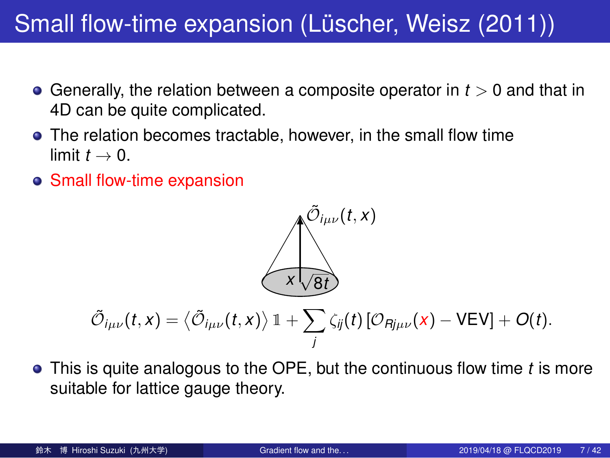#### Small flow-time expansion (Lüscher, Weisz (2011))

- Generally, the relation between a composite operator in *t >* 0 and that in 4D can be quite complicated.
- The relation becomes tractable, however, in the small flow time limit  $t \rightarrow 0$ .
- Small flow-time expansion

#### $\tilde{\mathcal{O}}_{i\mu\nu}(t,x)$ *x √* 8*t*  $\tilde{\mathcal{O}}_{i\mu\nu}(t,x) = \left\langle \tilde{\mathcal{O}}_{i\mu\nu}(t,x) \right\rangle \mathbb{1} + \sum_{\sigma} \mathbb{1}$ *j*  $\zeta_{ij}(t)$  [ $\mathcal{O}_{Rj\mu\nu}(x)$  *−* VEV] +  $O(t)$ .

This is quite analogous to the OPE, but the continuous flow time *t* is more suitable for lattice gauge theory.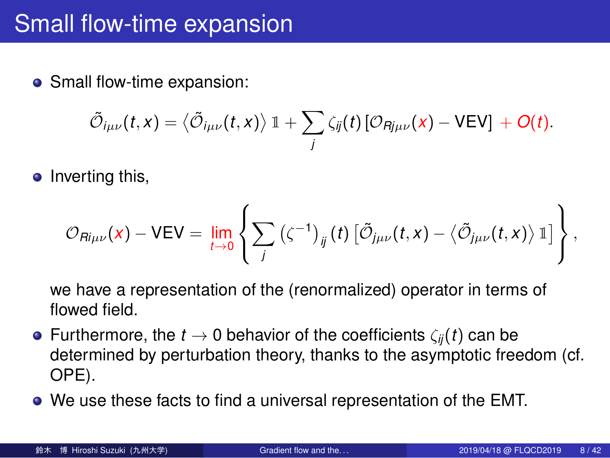# Small flow-time expansion

• Small flow-time expansion:

$$
\tilde{\mathcal{O}}_{i\mu\nu}(t,x) = \langle \tilde{\mathcal{O}}_{i\mu\nu}(t,x) \rangle \, \mathbb{1} + \sum_j \zeta_{ij}(t) \, [\mathcal{O}_{Rj\mu\nu}(x) - VEV] + O(t).
$$

 $\bullet$  Inverting this,

$$
\mathcal{O}_{\mathsf{R}i\mu\nu}(x) - \mathsf{VEV} = \lim_{t\to 0}\left\{\sum_j\left(\zeta^{-1}\right)_{ij}(t)\left[\tilde{\mathcal{O}}_{j\mu\nu}(t,x) - \left\langle\tilde{\mathcal{O}}_{j\mu\nu}(t,x)\right\rangle\mathbb{1}\right]\right\},\,
$$

we have a representation of the (renormalized) operator in terms of flowed field.

- Furthermore, the *t →* 0 behavior of the coefficients *ζij*(*t*) can be determined by perturbation theory, thanks to the asymptotic freedom (cf. OPE).
- We use these facts to find a universal representation of the EMT.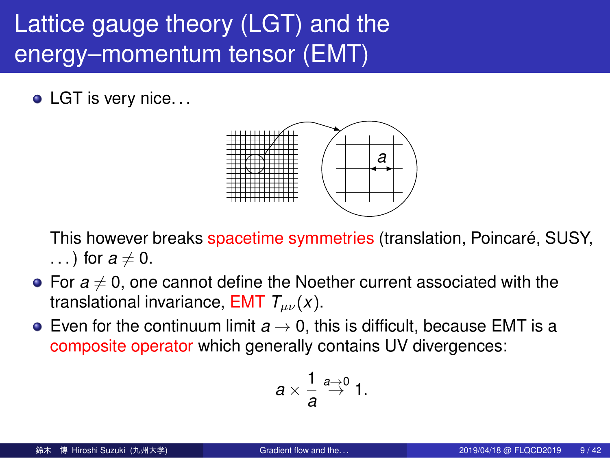#### Lattice gauge theory (LGT) and the energy–momentum tensor (EMT)

• LGT is very nice...



- This however breaks spacetime symmetries (translation, Poincaré, SUSY, ...) for  $a \neq 0$ .
- For  $a \neq 0$ , one cannot define the Noether current associated with the translational invariance, EMT *Tµν*(*x*).
- Even for the continuum limit *a →* 0, this is difficult, because EMT is a composite operator which generally contains UV divergences:

$$
a\times\frac{1}{a}\stackrel{a\rightarrow 0}{\rightarrow}1.
$$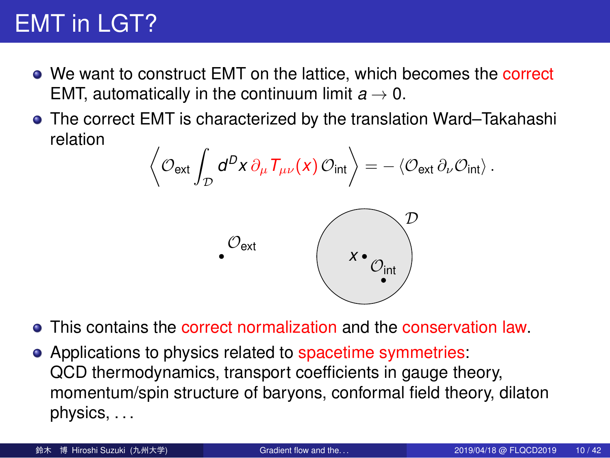#### EMT in LGT?

- We want to construct EMT on the lattice, which becomes the correct EMT, automatically in the continuum limit  $a \rightarrow 0$ .
- The correct EMT is characterized by the translation Ward–Takahashi relation ⟨

$$
\left\langle \mathcal{O}_{\text{ext}} \int_{\mathcal{D}} d^D x \, \partial_{\mu} T_{\mu\nu}(x) \, \mathcal{O}_{\text{int}} \right\rangle = - \left\langle \mathcal{O}_{\text{ext}} \partial_{\nu} \mathcal{O}_{\text{int}} \right\rangle.
$$
  

$$
\mathcal{O}_{\text{ext}}
$$

- This contains the correct normalization and the conservation law.
- Applications to physics related to spacetime symmetries: QCD thermodynamics, transport coefficients in gauge theory, momentum/spin structure of baryons, conformal field theory, dilaton physics, . . .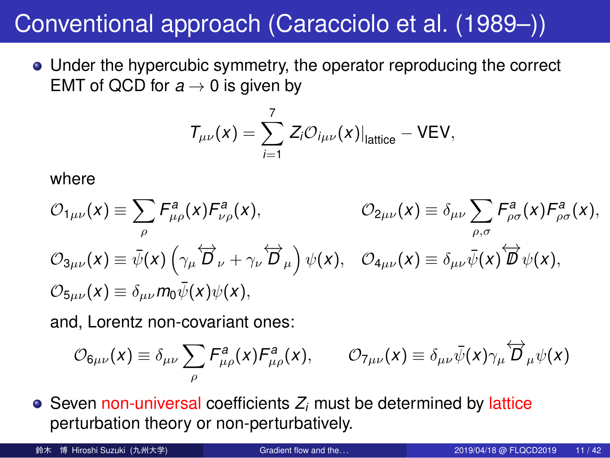## Conventional approach (Caracciolo et al. (1989–))

Under the hypercubic symmetry, the operator reproducing the correct EMT of QCD for  $a \rightarrow 0$  is given by

$$
T_{\mu\nu}(x) = \sum_{i=1}^7 Z_i \mathcal{O}_{i\mu\nu}(x)|_{\text{lattice}} - \text{VEV},
$$

where

$$
O_{1\mu\nu}(x) \equiv \sum_{\rho} F_{\mu\rho}^a(x) F_{\nu\rho}^a(x), \qquad O_{2\mu\nu}(x) \equiv \delta_{\mu\nu} \sum_{\rho,\sigma} F_{\rho\sigma}^a(x) F_{\rho\sigma}^a(x),
$$
  
\n
$$
O_{3\mu\nu}(x) \equiv \bar{\psi}(x) \left( \gamma_\mu \overleftrightarrow{D}_\nu + \gamma_\nu \overleftrightarrow{D}_\mu \right) \psi(x), \quad O_{4\mu\nu}(x) \equiv \delta_{\mu\nu} \bar{\psi}(x) \overleftrightarrow{D}_\nu(x),
$$
  
\n
$$
O_{5\mu\nu}(x) \equiv \delta_{\mu\nu} m_0 \bar{\psi}(x) \psi(x),
$$

and, Lorentz non-covariant ones:

$$
\mathcal{O}_{6\mu\nu}(x) \equiv \delta_{\mu\nu} \sum_{\rho} F^a_{\mu\rho}(x) F^a_{\mu\rho}(x), \qquad \mathcal{O}_{7\mu\nu}(x) \equiv \delta_{\mu\nu} \bar{\psi}(x) \gamma_{\mu} \overleftrightarrow{D}_{\mu} \psi(x)
$$

 $\bullet$  Seven non-universal coefficients  $Z_i$  must be determined by lattice perturbation theory or non-perturbatively.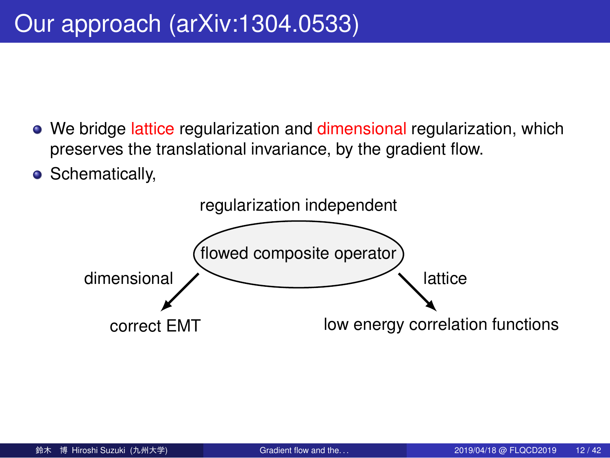#### Our approach (arXiv:1304.0533)

- We bridge lattice regularization and dimensional regularization, which preserves the translational invariance, by the gradient flow.
- **•** Schematically,

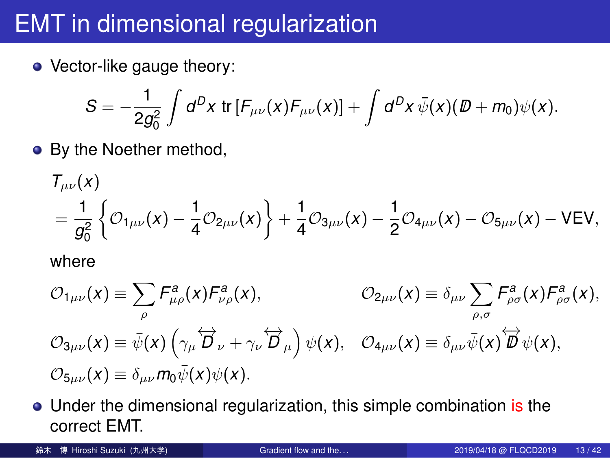# EMT in dimensional regularization

• Vector-like gauge theory:

$$
S = -\frac{1}{2g_0^2} \int d^D x \, \text{tr} \left[ F_{\mu\nu}(x) F_{\mu\nu}(x) \right] + \int d^D x \, \bar{\psi}(x) (\mathcal{D} + m_0) \psi(x).
$$

• By the Noether method,

$$
T_{\mu\nu}(x) = \frac{1}{g_0^2} \left\{ \mathcal{O}_{1\mu\nu}(x) - \frac{1}{4} \mathcal{O}_{2\mu\nu}(x) \right\} + \frac{1}{4} \mathcal{O}_{3\mu\nu}(x) - \frac{1}{2} \mathcal{O}_{4\mu\nu}(x) - \mathcal{O}_{5\mu\nu}(x) - \text{VEV},
$$

where

$$
\mathcal{O}_{1\mu\nu}(x) \equiv \sum_{\rho} F_{\mu\rho}^{a}(x) F_{\nu\rho}^{a}(x), \qquad \mathcal{O}_{2\mu\nu}(x) \equiv \delta_{\mu\nu} \sum_{\rho,\sigma} F_{\rho\sigma}^{a}(x) F_{\rho\sigma}^{a}(x),
$$
  

$$
\mathcal{O}_{3\mu\nu}(x) \equiv \bar{\psi}(x) \left( \gamma_{\mu} \overleftrightarrow{D}_{\nu} + \gamma_{\nu} \overleftrightarrow{D}_{\mu} \right) \psi(x), \quad \mathcal{O}_{4\mu\nu}(x) \equiv \delta_{\mu\nu} \bar{\psi}(x) \overleftrightarrow{D}_{\nu}(x),
$$
  

$$
\mathcal{O}_{5\mu\nu}(x) \equiv \delta_{\mu\nu} m_0 \bar{\psi}(x) \psi(x).
$$

- Under the dimensional regularization, this simple combination is the correct EMT.
- 鈴木 博 Hiroshi Suzuki (九州大学) **Gradient flow and the...** 2019/04/18 @ FLQCD2019 13 / 42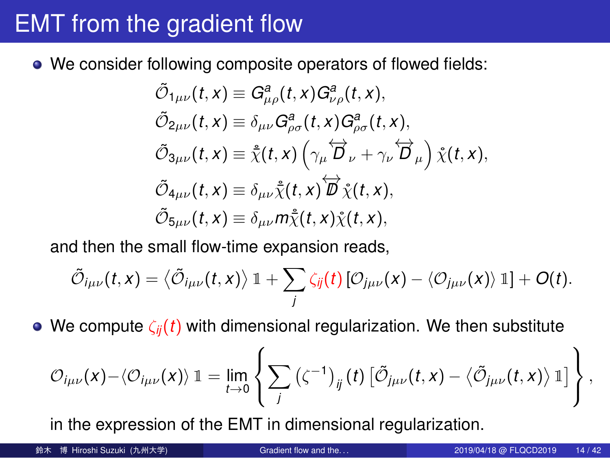# EMT from the gradient flow

We consider following composite operators of flowed fields:

$$
\tilde{\mathcal{O}}_{1\mu\nu}(t,x) \equiv G_{\mu\rho}^a(t,x)G_{\nu\rho}^a(t,x),
$$
\n
$$
\tilde{\mathcal{O}}_{2\mu\nu}(t,x) \equiv \delta_{\mu\nu}G_{\rho\sigma}^a(t,x)G_{\rho\sigma}^a(t,x),
$$
\n
$$
\tilde{\mathcal{O}}_{3\mu\nu}(t,x) \equiv \tilde{\chi}(t,x) \left(\gamma_\mu \overleftrightarrow{D}_\nu + \gamma_\nu \overleftrightarrow{D}_\mu\right) \tilde{\chi}(t,x),
$$
\n
$$
\tilde{\mathcal{O}}_{4\mu\nu}(t,x) \equiv \delta_{\mu\nu} \tilde{\chi}(t,x) \overleftrightarrow{D}_\chi(t,x),
$$
\n
$$
\tilde{\mathcal{O}}_{5\mu\nu}(t,x) \equiv \delta_{\mu\nu} m \tilde{\chi}(t,x) \tilde{\chi}(t,x),
$$

and then the small flow-time expansion reads,

$$
\tilde{\mathcal{O}}_{i\mu\nu}(t,x) = \left\langle \tilde{\mathcal{O}}_{i\mu\nu}(t,x) \right\rangle \mathbb{1} + \sum_j \zeta_{ij}(t) \left[ \mathcal{O}_{j\mu\nu}(x) - \left\langle \mathcal{O}_{j\mu\nu}(x) \right\rangle \mathbb{1} \right] + O(t).
$$

We compute *ζij*(*t*) with dimensional regularization. We then substitute

$$
\mathcal{O}_{i\mu\nu}(x) - \langle \mathcal{O}_{i\mu\nu}(x) \rangle \mathbb{1} = \lim_{t \to 0} \left\{ \sum_j \left( \zeta^{-1} \right)_{ij} (t) \left[ \tilde{\mathcal{O}}_{j\mu\nu}(t,x) - \langle \tilde{\mathcal{O}}_{j\mu\nu}(t,x) \rangle \mathbb{1} \right] \right\},
$$

in the expression of the EMT in dimensional regularization.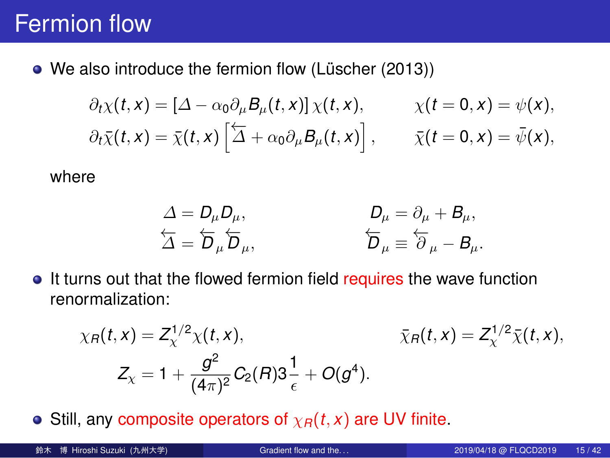#### Fermion flow

We also introduce the fermion flow (Lüscher (2013))

$$
\partial_t \chi(t,x) = \left[\Delta - \alpha_0 \partial_\mu B_\mu(t,x)\right] \chi(t,x), \qquad \chi(t=0,x) = \psi(x),
$$
  

$$
\partial_t \bar{\chi}(t,x) = \bar{\chi}(t,x) \left[\overleftarrow{\Delta} + \alpha_0 \partial_\mu B_\mu(t,x)\right], \qquad \bar{\chi}(t=0,x) = \bar{\psi}(x),
$$

where

$$
\Delta = D_{\mu}D_{\mu},
$$
  
\n
$$
\Delta = \overleftarrow{D}_{\mu}\overleftarrow{D}_{\mu},
$$
  
\n
$$
\overleftarrow{D}_{\mu} = \partial_{\mu} + B_{\mu},
$$
  
\n
$$
\overleftarrow{D}_{\mu} = \overleftarrow{\partial}_{\mu} - B_{\mu}.
$$

 $\bullet$  It turns out that the flowed fermion field requires the wave function renormalization:

$$
\chi_R(t,x) = Z_{\chi}^{1/2} \chi(t,x), \qquad \qquad \bar{\chi}_R(t,x) = Z_{\chi}^{1/2} \bar{\chi}(t,x),
$$
  

$$
Z_{\chi} = 1 + \frac{g^2}{(4\pi)^2} C_2(R) 3\frac{1}{\epsilon} + O(g^4).
$$

**•** Still, any composite operators of  $\chi_R(t, x)$  are UV finite.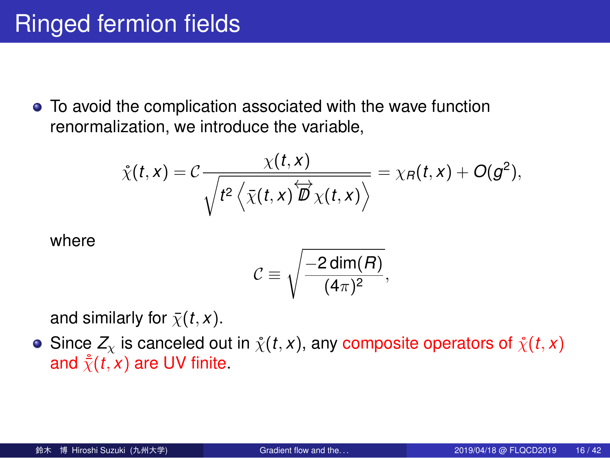# Ringed fermion fields

To avoid the complication associated with the wave function renormalization, we introduce the variable,

$$
\tilde{\chi}(t,x) = C \frac{\chi(t,x)}{\sqrt{t^2 \left\langle \bar{\chi}(t,x) \overleftrightarrow{D} \chi(t,x) \right\rangle}} = \chi_B(t,x) + O(g^2),
$$

where

$$
C \equiv \sqrt{\frac{-2\dim(R)}{(4\pi)^2}},
$$

and similarly for  $\bar{\chi}(t, x)$ .

Since  $Z_\chi$  is canceled out in  $\mathring{\chi}(t,x)$ , any composite operators of  $\mathring{\chi}(t,x)$ and  $\dot{\bar{\chi}}(t, x)$  are UV finite.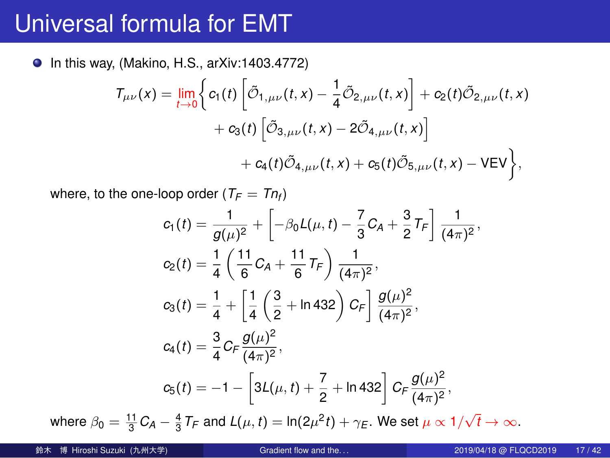#### Universal formula for EMT

● In this way, (Makino, H.S., arXiv:1403.4772)

$$
T_{\mu\nu}(x) = \lim_{t \to 0} \left\{ c_1(t) \left[ \tilde{\mathcal{O}}_{1,\mu\nu}(t,x) - \frac{1}{4} \tilde{\mathcal{O}}_{2,\mu\nu}(t,x) \right] + c_2(t) \tilde{\mathcal{O}}_{2,\mu\nu}(t,x) + c_3(t) \left[ \tilde{\mathcal{O}}_{3,\mu\nu}(t,x) - 2 \tilde{\mathcal{O}}_{4,\mu\nu}(t,x) \right] + c_4(t) \tilde{\mathcal{O}}_{4,\mu\nu}(t,x) + c_5(t) \tilde{\mathcal{O}}_{5,\mu\nu}(t,x) - VEV \right\},\,
$$

where, to the one-loop order ( $T_F = Tn_f$ )

$$
c_1(t) = \frac{1}{g(\mu)^2} + \left[ -\beta_0 L(\mu, t) - \frac{7}{3} C_A + \frac{3}{2} T_F \right] \frac{1}{(4\pi)^2},
$$
  
\n
$$
c_2(t) = \frac{1}{4} \left( \frac{11}{6} C_A + \frac{11}{6} T_F \right) \frac{1}{(4\pi)^2},
$$
  
\n
$$
c_3(t) = \frac{1}{4} + \left[ \frac{1}{4} \left( \frac{3}{2} + \ln 432 \right) C_F \right] \frac{g(\mu)^2}{(4\pi)^2},
$$
  
\n
$$
c_4(t) = \frac{3}{4} C_F \frac{g(\mu)^2}{(4\pi)^2},
$$
  
\n
$$
c_5(t) = -1 - \left[ 3L(\mu, t) + \frac{7}{2} + \ln 432 \right] C_F \frac{g(\mu)^2}{(4\pi)^2},
$$

where  $\beta_0 = \frac{11}{3} C_A - \frac{4}{3} T_F$  and  $L(\mu, t) = \ln(2\mu^2 t) + \gamma_E$ . We set  $\mu \propto 1/\sqrt{t} \to \infty$ .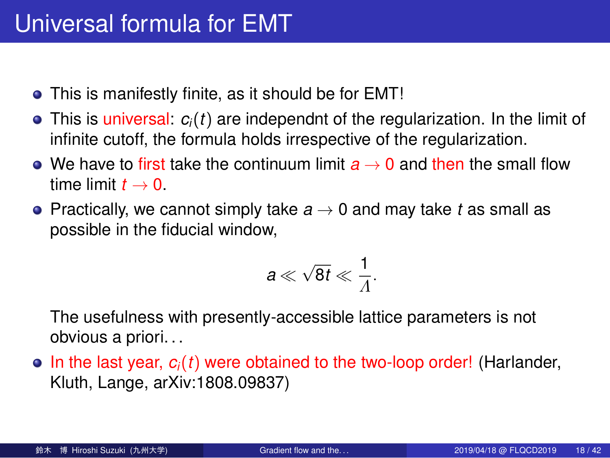#### Universal formula for EMT

- This is manifestly finite, as it should be for EMT!
- This is universal: *ci*(*t*) are independnt of the regularization. In the limit of infinite cutoff, the formula holds irrespective of the regularization.
- We have to first take the continuum limit  $a \rightarrow 0$  and then the small flow time limit  $t \rightarrow 0$ .
- Practically, we cannot simply take *a →* 0 and may take *t* as small as possible in the fiducial window,

$$
a\ll \sqrt{8t}\ll \frac{1}{\Lambda}.
$$

The usefulness with presently-accessible lattice parameters is not obvious a priori. . .

 $\bullet$  In the last year,  $c_i(t)$  were obtained to the two-loop order! (Harlander, Kluth, Lange, arXiv:1808.09837)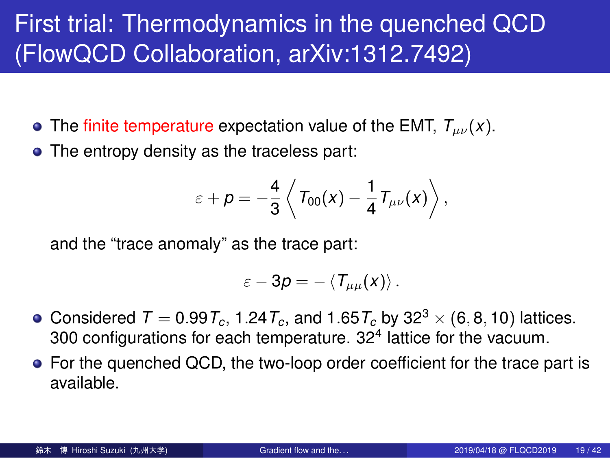#### First trial: Thermodynamics in the quenched QCD (FlowQCD Collaboration, arXiv:1312.7492)

- The finite temperature expectation value of the EMT,  $T_{\mu\nu}(x)$ .
- The entropy density as the traceless part:

$$
\varepsilon + \rho = -\frac{4}{3}\left\langle T_{00}(x) - \frac{1}{4}T_{\mu\nu}(x)\right\rangle,
$$

and the "trace anomaly" as the trace part:

$$
\varepsilon-3p=-\left\langle T_{\mu\mu}(x)\right\rangle.
$$

- Considered  $T = 0.99T_c$ , 1.24 $T_c$ , and 1.65 $T_c$  by 32<sup>3</sup>  $\times$  (6, 8, 10) lattices. 300 configurations for each temperature.  $32<sup>4</sup>$  lattice for the vacuum.
- For the quenched QCD, the two-loop order coefficient for the trace part is available.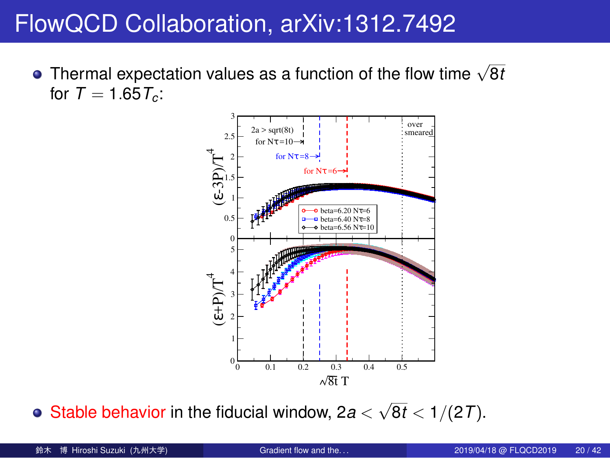# FlowQCD Collaboration, arXiv:1312.7492

Thermal expectation values as a function of the flow time *<sup>√</sup>* 8*t* for  $\mathcal{T}=1.65\,\mathcal{T}_c$ :



Stable behavior in the fiducial window,  $2a < \sqrt{8t} < 1/(27)$ .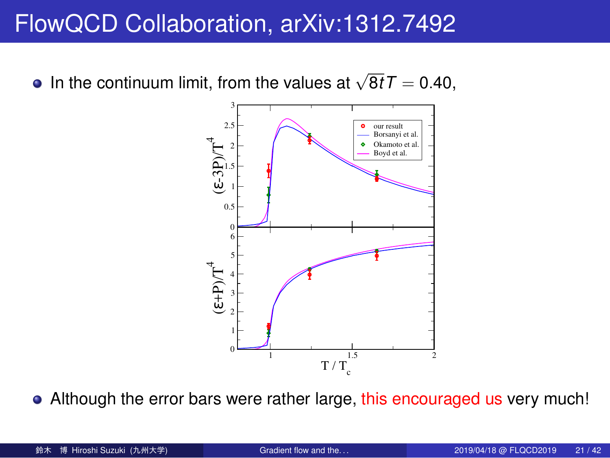# FlowQCD Collaboration, arXiv:1312.7492

In the continuum limit, from the values at  $\sqrt{8t}T = 0.40$ ,



• Although the error bars were rather large, this encouraged us very much!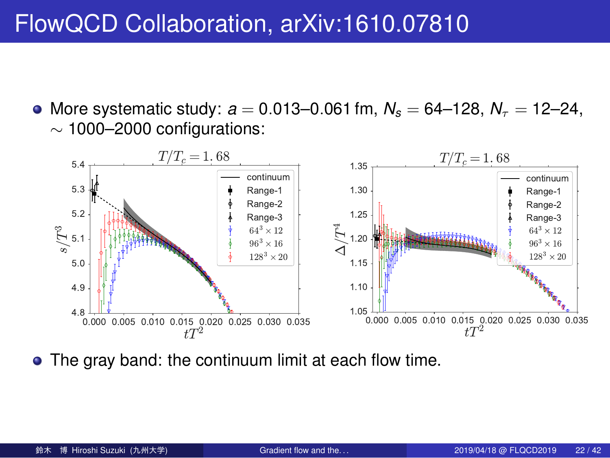## FlowQCD Collaboration, arXiv:1610.07810



More systematic study: *a* = 0*.*013–0*.*061 fm, *N<sup>s</sup>* = 64–128, *N<sup>τ</sup>* = 12–24, *∼* 1000–2000 configurations:

The gray band: the continuum limit at each flow time.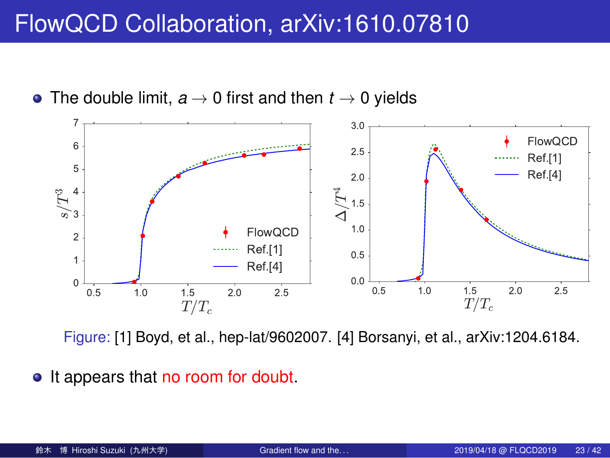## FlowQCD Collaboration, arXiv:1610.07810



The double limit, *a →* 0 first and then *t →* 0 yields

• It appears that no room for doubt.

Figure: [1] Boyd, et al., hep-lat/9602007. [4] Borsanyi, et al., arXiv:1204.6184.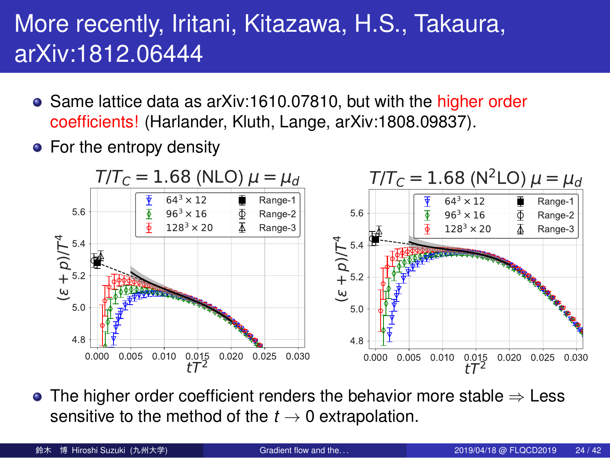#### More recently, Iritani, Kitazawa, H.S., Takaura, arXiv:1812.06444

- Same lattice data as arXiv:1610.07810, but with the higher order coefficients! (Harlander, Kluth, Lange, arXiv:1808.09837).
- For the entropy density



The higher order coefficient renders the behavior more stable *⇒* Less sensitive to the method of the  $t \rightarrow 0$  extrapolation.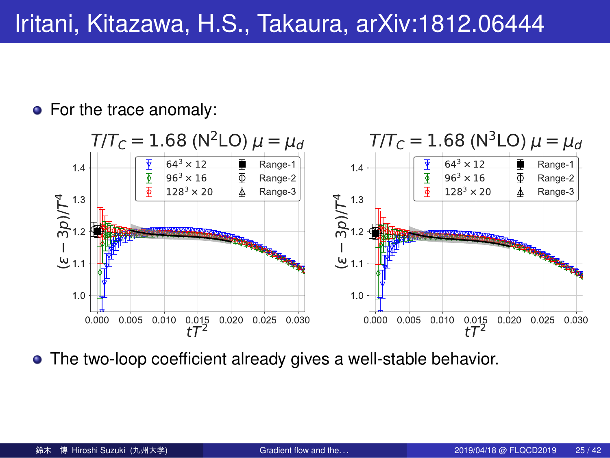## Iritani, Kitazawa, H.S., Takaura, arXiv:1812.06444

• For the trace anomaly:



The two-loop coefficient already gives a well-stable behavior.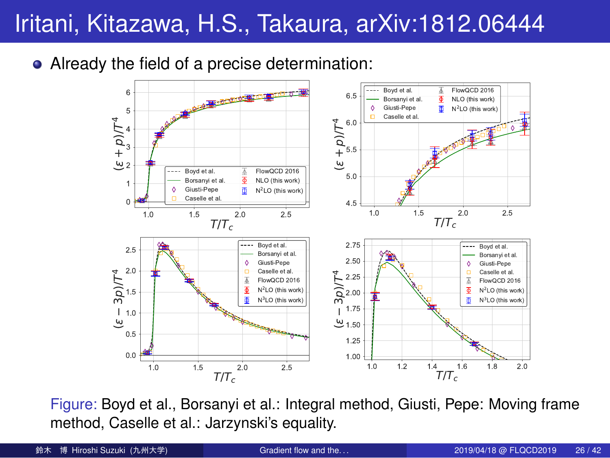## Iritani, Kitazawa, H.S., Takaura, arXiv:1812.06444



Already the field of a precise determination:

Figure: Boyd et al., Borsanyi et al.: Integral method, Giusti, Pepe: Moving frame method, Caselle et al.: Jarzynski's equality.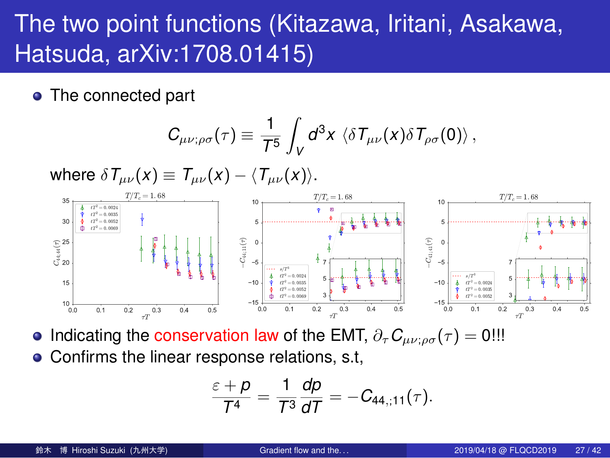## The two point functions (Kitazawa, Iritani, Asakawa, Hatsuda, arXiv:1708.01415)

• The connected part

$$
C_{\mu\nu;\rho\sigma}(\tau)\equiv\frac{1}{T^5}\int_V d^3x\,\left\langle\delta T_{\mu\nu}(x)\delta T_{\rho\sigma}(0)\right\rangle,
$$

where *δTµν*(*x*) *≡ Tµν*(*x*) *− ⟨Tµν*(*x*)*⟩*. 0.0 0.1 0.2 0.3 0.4 0.5 ¿T 10 15 20 25 30 35 C<sup>4</sup> 4; <sup>4</sup> ¿) T=T<sup>c</sup> = 1: 68 tT = 0: 0024 tT 2 = 0: 0035 tT 2 = 0: 0052 tT 2 = 0: 0069 0.0 0.1 0.2 0.3 0.4 0.5 ¿T 15 10 5 0 5 10 C<sup>4</sup> 4; <sup>1</sup> ¿) T=T<sup>c</sup> = 1: 68 s=T 3 tT 2 = 0: 0024 tT 2 = 0: 0035 tT = 0: 0052 tT 2 = 0: 0069 3 5 7 0.0 0.1 0.2 0.3 0.4 0.5 ¿T 15 10 5 0 5 10 C<sup>4</sup> 1; <sup>4</sup> ¿) T=T<sup>c</sup> = 1: 68 s=T 3 tT 2 = 0: 0024 tT = 0: 0035 tT 2 = 0: 0052 3 5 7

- **•** Indicating the conservation law of the EMT,  $\partial_{\tau} C_{\mu\nu;\rho\sigma}(\tau) = 0$ !!!
- Confirms the linear response relations, s.t,

$$
\frac{\varepsilon + \rho}{T^4} = \frac{1}{T^3} \frac{d\rho}{dT} = -C_{44,\mathrm{;11}}(\tau).
$$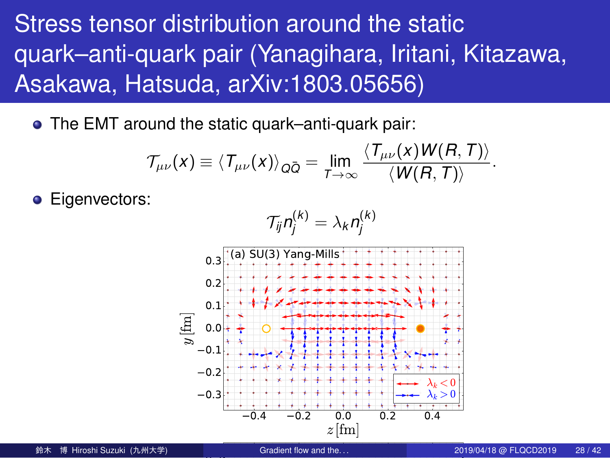Stress tensor distribution around the static quark–anti-quark pair (Yanagihara, Iritani, Kitazawa, Asakawa, Hatsuda, arXiv:1803.05656)

The EMT around the static quark–anti-quark pair:

$$
\mathcal{T}_{\mu\nu}(x) \equiv \langle T_{\mu\nu}(x) \rangle_{Q\bar{Q}} = \lim_{T \to \infty} \frac{\langle T_{\mu\nu}(x) W(R, T) \rangle}{\langle W(R, T) \rangle}.
$$

**·** Eigenvectors:

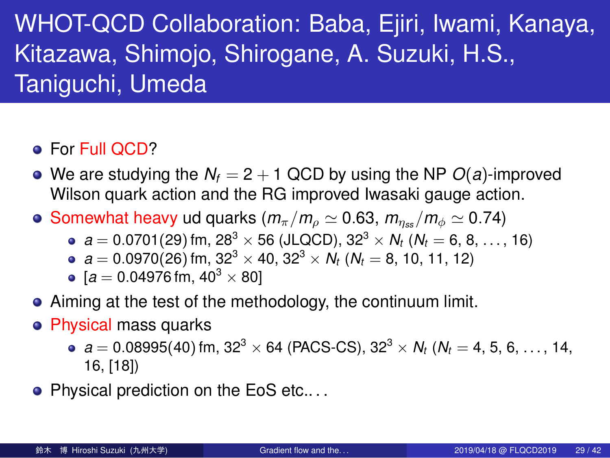#### WHOT-QCD Collaboration: Baba, Ejiri, Iwami, Kanaya, Kitazawa, Shimojo, Shirogane, A. Suzuki, H.S., Taniguchi, Umeda

- For Full QCD?
- We are studying the  $N_f = 2 + 1$  QCD by using the NP  $O(a)$ -improved Wilson quark action and the RG improved Iwasaki gauge action.
- Somewhat heavy ud quarks  $(m_{\pi}/m_{\rho} \simeq 0.63, m_{\eta_{ss}}/m_{\phi} \simeq 0.74)$ 
	- $a = 0.0701(29)$  fm,  $28^3 \times 56$  (JLQCD),  $32^3 \times N_t$  ( $N_t = 6, 8, ..., 16$ )
	- $a = 0.0970(26)$  fm,  $32<sup>3</sup> \times 40$ ,  $32<sup>3</sup> \times N_t$  ( $N_t = 8$ , 10, 11, 12)
	- $[a = 0.04976$  fm,  $40^3 \times 80]$
- Aiming at the test of the methodology, the continuum limit.
- Physical mass quarks
	- $\bullet$  *a* = 0.08995(40) fm, 32<sup>3</sup>  $\times$  64 (PACS-CS), 32<sup>3</sup>  $\times$  *N<sub>t</sub>* (*N<sub>t</sub>* = 4, 5, 6, ..., 14, 16, [18])
- Physical prediction on the EoS etc....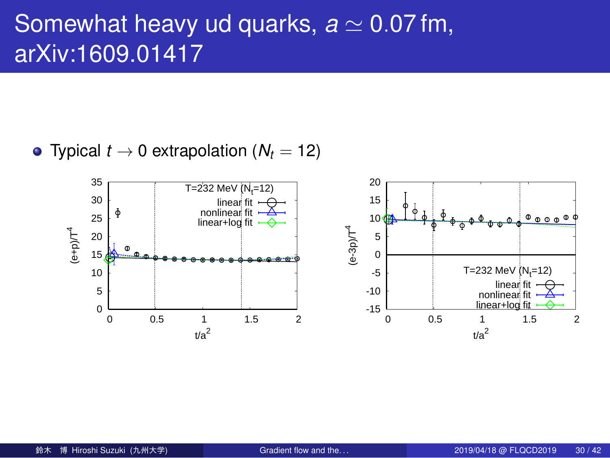## Somewhat heavy ud quarks, *a ≃* 0*.*07 fm, arXiv:1609.01417

• Typical  $t \to 0$  extrapolation  $(N_t = 12)$ 

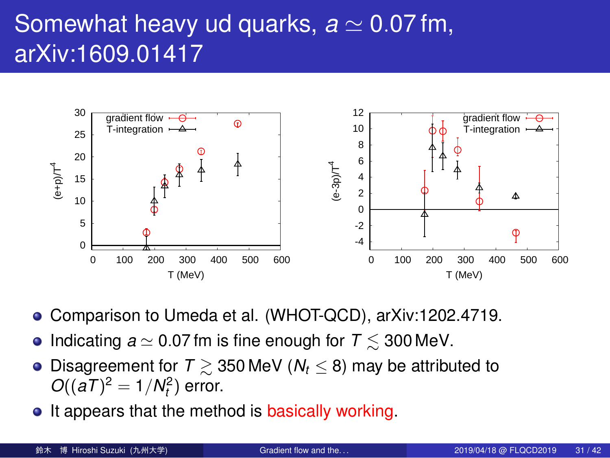#### Somewhat heavy ud quarks, *a ≃* 0*.*07 fm, arXiv:1609.01417



- Comparison to Umeda et al. (WHOT-QCD), arXiv:1202.4719.
- Indicating *a ≃* 0*.*07 fm is fine enough for *T* ≲ 300 MeV.
- Disagreement for *T* ≳ 350 MeV (*N<sup>t</sup> ≤* 8) may be attributed to  $O((aT)^2 = 1/N_t^2)$  error.
- It appears that the method is basically working.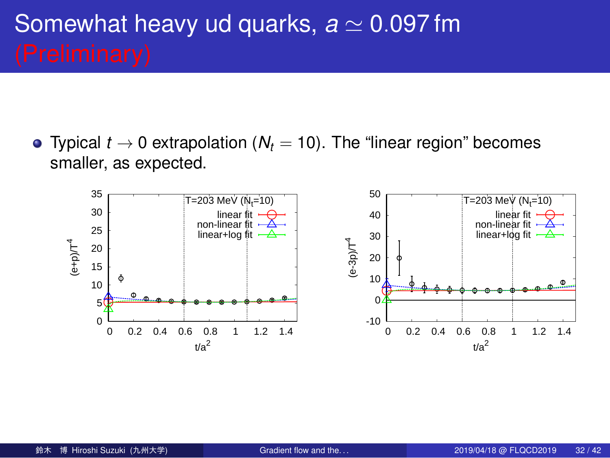# Somewhat heavy ud quarks, *a ≃* 0*.*097 fm

Typical *t →* 0 extrapolation (*N<sup>t</sup>* = 10). The "linear region" becomes smaller, as expected.

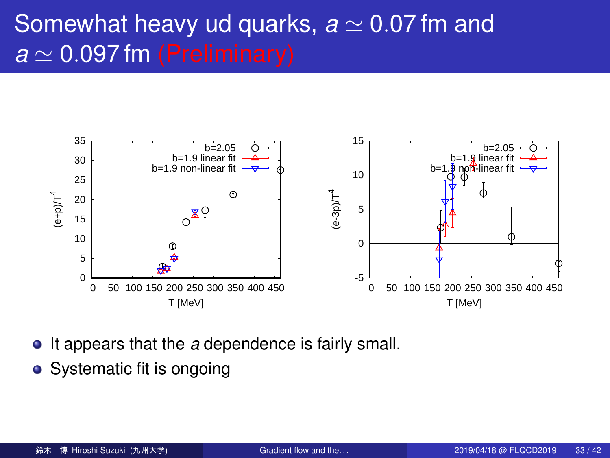## Somewhat heavy ud quarks, *a ≃* 0*.*07 fm and *a ≃* 0*.*097 fm (Preliminary)



- It appears that the *a* dependence is fairly small.
- Systematic fit is ongoing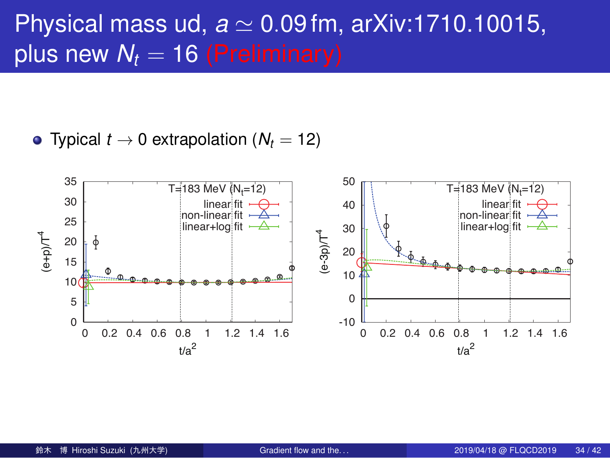# Physical mass ud, *a ≃* 0*.*09 fm, arXiv:1710.10015, plus new  $N_t = 16$  (Preliminary)

• Typical  $t \to 0$  extrapolation  $(N_t = 12)$ 

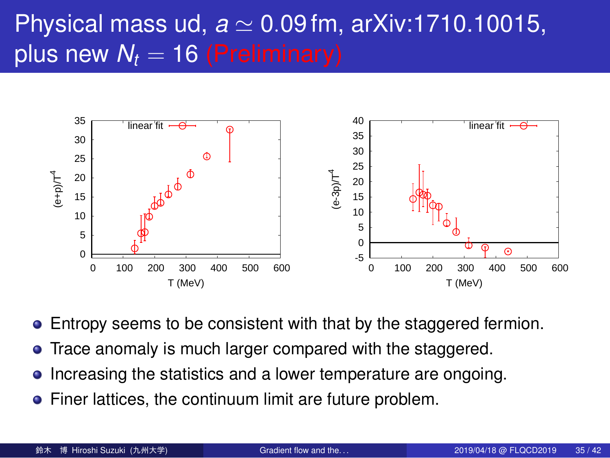# Physical mass ud, *a ≃* 0*.*09 fm, arXiv:1710.10015, plus new  $N_t = 16$  (Preliminary)



- Entropy seems to be consistent with that by the staggered fermion.
- Trace anomaly is much larger compared with the staggered.
- Increasing the statistics and a lower temperature are ongoing.
- **•** Finer lattices, the continuum limit are future problem.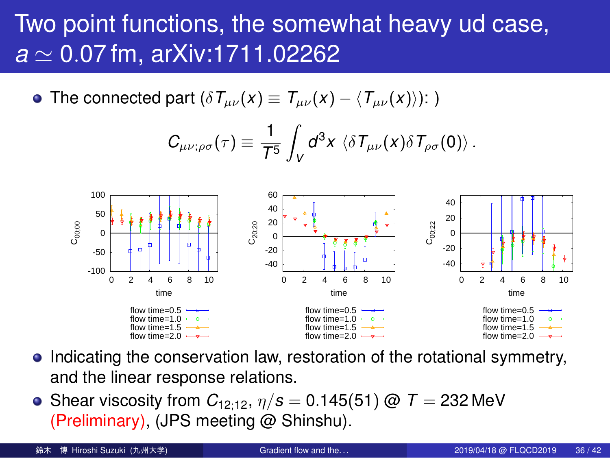#### Two point functions, the somewhat heavy ud case, *a ≃* 0*.*07 fm, arXiv:1711.02262

• The connected part  $(\delta T_{\mu\nu}(x)) \equiv T_{\mu\nu}(x) - \langle T_{\mu\nu}(x) \rangle$ : )

$$
C_{\mu\nu;\rho\sigma}(\tau)\equiv \frac{1}{T^5}\int_V d^3x\, \left\langle \delta T_{\mu\nu}(x)\delta T_{\rho\sigma}(0)\right\rangle.
$$



- Indicating the conservation law, restoration of the rotational symmetry, and the linear response relations.
- Shear viscosity from  $C_{12;12}$ ,  $\eta/s = 0.145(51)$  @  $T = 232$  MeV (Preliminary), (JPS meeting @ Shinshu).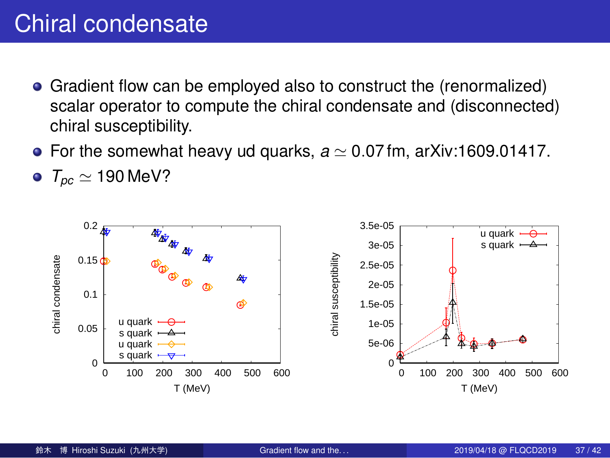#### Chiral condensate

- Gradient flow can be employed also to construct the (renormalized) scalar operator to compute the chiral condensate and (disconnected) chiral susceptibility.
- For the somewhat heavy ud quarks, *a ≃* 0*.*07 fm, arXiv:1609.01417.
- *Tpc ≃* 190 MeV?

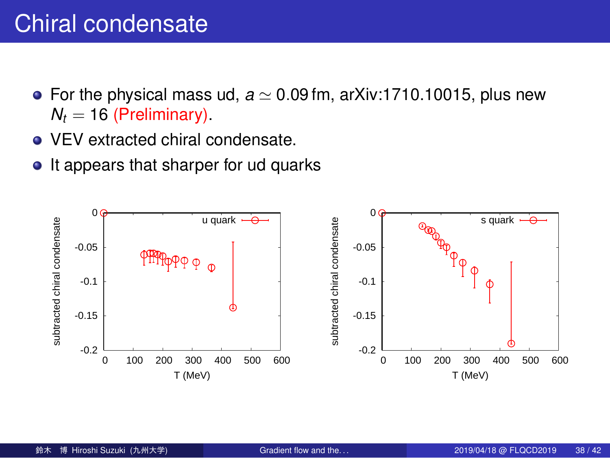#### Chiral condensate

- For the physical mass ud, *a ≃* 0*.*09 fm, arXiv:1710.10015, plus new  $N_t = 16$  (Preliminary).
- VEV extracted chiral condensate.
- It appears that sharper for ud quarks

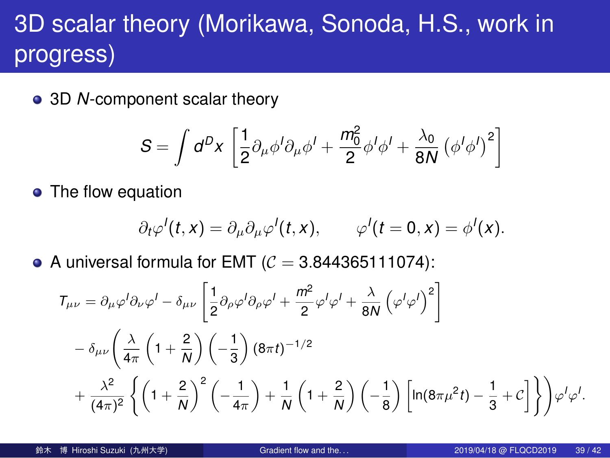## 3D scalar theory (Morikawa, Sonoda, H.S., work in progress)

3D *N*-component scalar theory

$$
S = \int d^D x \left[ \frac{1}{2} \partial_\mu \phi^I \partial_\mu \phi^I + \frac{m_0^2}{2} \phi^I \phi^I + \frac{\lambda_0}{8N} \left( \phi^I \phi^I \right)^2 \right]
$$

• The flow equation

$$
\partial_t \varphi'(t,x) = \partial_\mu \partial_\mu \varphi'(t,x), \qquad \varphi'(t=0,x) = \varphi'(x).
$$

A universal formula for EMT  $(C = 3.844365111074)$ :

$$
T_{\mu\nu} = \partial_{\mu}\varphi^{I}\partial_{\nu}\varphi^{I} - \delta_{\mu\nu}\left[\frac{1}{2}\partial_{\rho}\varphi^{I}\partial_{\rho}\varphi^{I} + \frac{m^{2}}{2}\varphi^{I}\varphi^{I} + \frac{\lambda}{8N}\left(\varphi^{I}\varphi^{I}\right)^{2}\right] - \delta_{\mu\nu}\left(\frac{\lambda}{4\pi}\left(1 + \frac{2}{N}\right)\left(-\frac{1}{3}\right)(8\pi t)^{-1/2} + \frac{\lambda^{2}}{(4\pi)^{2}}\left\{\left(1 + \frac{2}{N}\right)^{2}\left(-\frac{1}{4\pi}\right) + \frac{1}{N}\left(1 + \frac{2}{N}\right)\left(-\frac{1}{8}\right)\left[\ln(8\pi\mu^{2}t) - \frac{1}{3} + C\right]\right\}\right)\varphi^{I}\varphi^{I}.
$$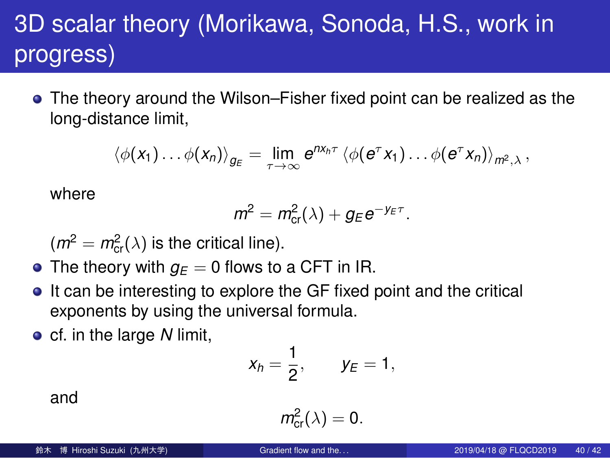#### 3D scalar theory (Morikawa, Sonoda, H.S., work in progress)

The theory around the Wilson–Fisher fixed point can be realized as the long-distance limit,

$$
\langle \phi(x_1) \dots \phi(x_n) \rangle_{g_E} = \lim_{\tau \to \infty} e^{nx_n \tau} \langle \phi(e^{\tau} x_1) \dots \phi(e^{\tau} x_n) \rangle_{m^2, \lambda},
$$

where

$$
m^2 = m_{\rm cr}^2(\lambda) + g_E e^{-y_E \tau}.
$$

 $(m^2 = m_{cr}^2(\lambda)$  is the critical line).

- The theory with  $g_E = 0$  flows to a CFT in IR.
- It can be interesting to explore the GF fixed point and the critical exponents by using the universal formula.
- **c** cf. in the large *N* limit,

$$
x_h=\frac{1}{2}, \qquad y_E=1,
$$

and

$$
m_{\text{cr}}^2(\lambda)=0.
$$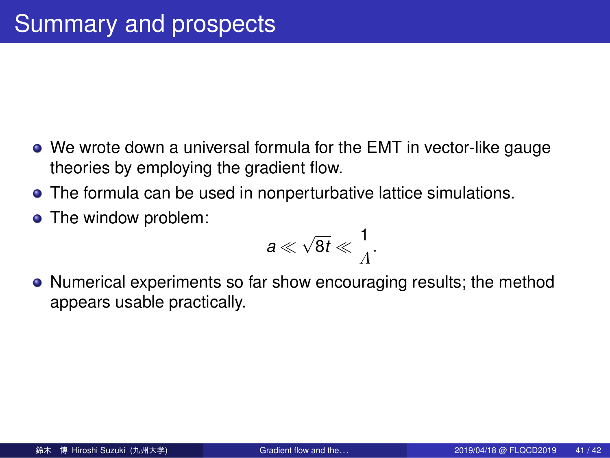#### Summary and prospects

- We wrote down a universal formula for the EMT in vector-like gauge theories by employing the gradient flow.
- The formula can be used in nonperturbative lattice simulations.
- The window problem:

$$
a\ll \sqrt{8t}\ll \frac{1}{\Lambda}.
$$

Numerical experiments so far show encouraging results; the method appears usable practically.